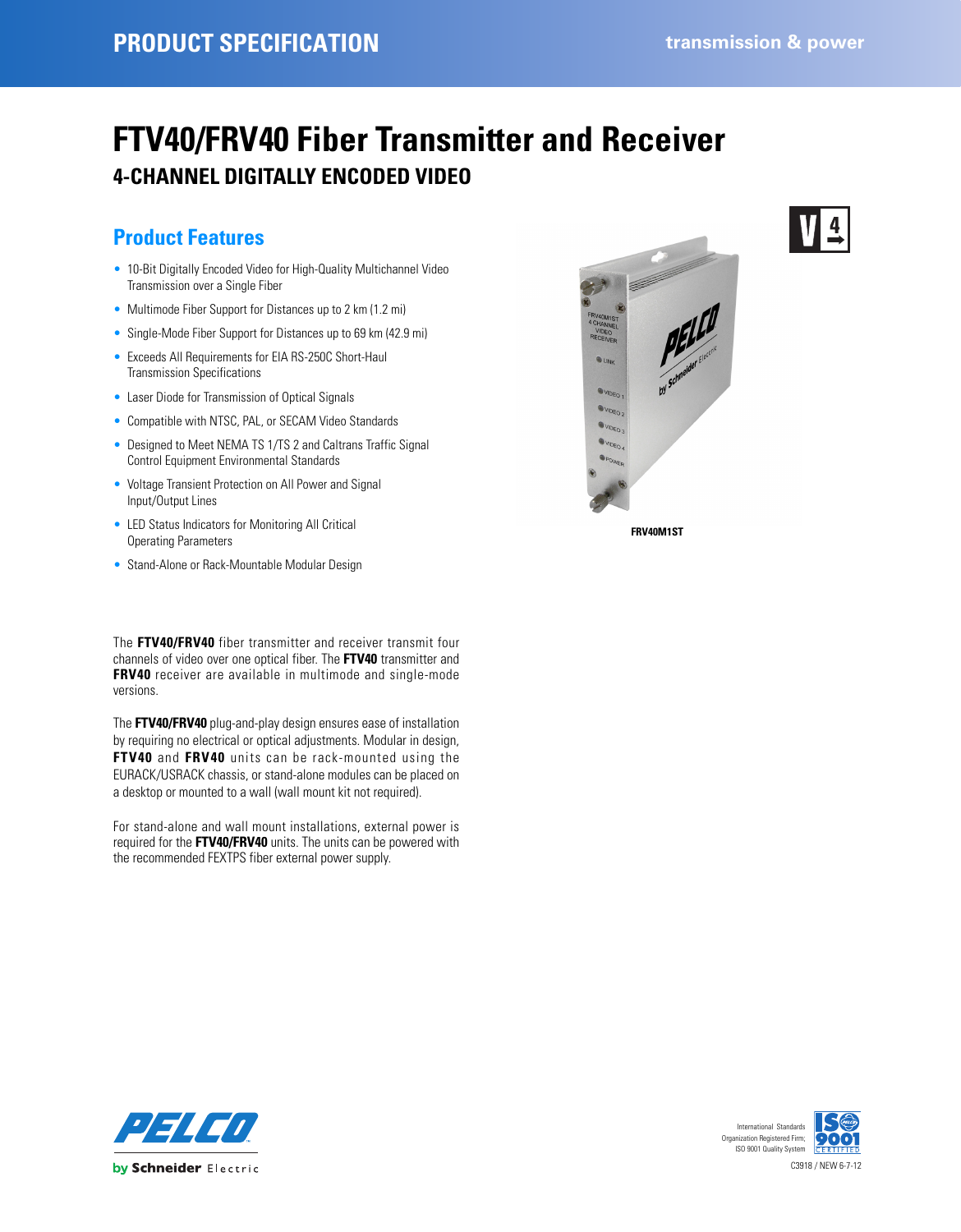# **FTV40/FRV40 Fiber Transmitter and Receiver 4-CHANNEL DIGITALLY ENCODED VIDEO**

# **Product Features**

- 10-Bit Digitally Encoded Video for High-Quality Multichannel Video Transmission over a Single Fiber
- Multimode Fiber Support for Distances up to 2 km (1.2 mi)
- Single-Mode Fiber Support for Distances up to 69 km (42.9 mi)
- Exceeds All Requirements for EIA RS-250C Short-Haul Transmission Specifications
- Laser Diode for Transmission of Optical Signals
- Compatible with NTSC, PAL, or SECAM Video Standards
- Designed to Meet NEMA TS 1/TS 2 and Caltrans Traffic Signal Control Equipment Environmental Standards
- Voltage Transient Protection on All Power and Signal Input/Output Lines
- LED Status Indicators for Monitoring All Critical Operating Parameters
- Stand-Alone or Rack-Mountable Modular Design

The **FTV40/FRV40** fiber transmitter and receiver transmit four channels of video over one optical fiber. The **FTV40** transmitter and **FRV40** receiver are available in multimode and single-mode versions.

The **FTV40/FRV40** plug-and-play design ensures ease of installation by requiring no electrical or optical adjustments. Modular in design, **FTV40** and **FRV40** units can be rack-mounted using the EURACK/USRACK chassis, or stand-alone modules can be placed on a desktop or mounted to a wall (wall mount kit not required).

For stand-alone and wall mount installations, external power is required for the **FTV40/FRV40** units. The units can be powered with the recommended FEXTPS fiber external power supply.



**FRV40M1ST**